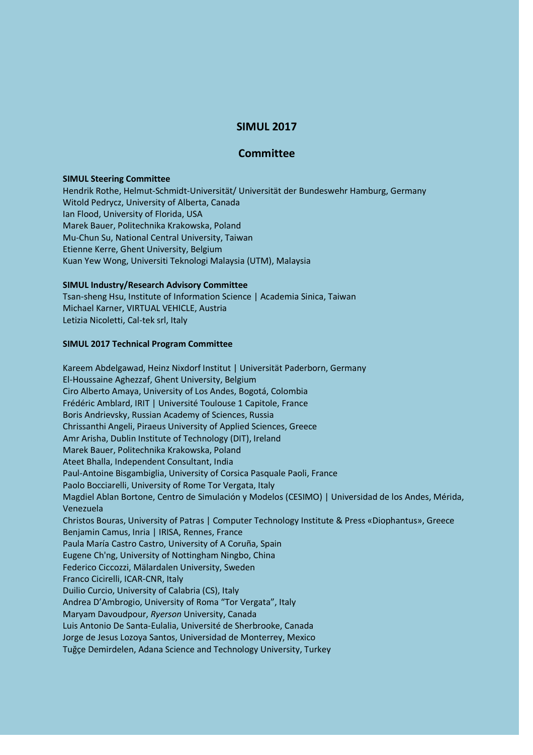# **SIMUL 2017**

## **Committee**

### **SIMUL Steering Committee**

Hendrik Rothe, Helmut-Schmidt-Universität/ Universität der Bundeswehr Hamburg, Germany Witold Pedrycz, University of Alberta, Canada Ian Flood, University of Florida, USA Marek Bauer, Politechnika Krakowska, Poland Mu-Chun Su, National Central University, Taiwan Etienne Kerre, Ghent University, Belgium Kuan Yew Wong, Universiti Teknologi Malaysia (UTM), Malaysia

### **SIMUL Industry/Research Advisory Committee**

Tsan-sheng Hsu, Institute of Information Science | Academia Sinica, Taiwan Michael Karner, VIRTUAL VEHICLE, Austria Letizia Nicoletti, Cal-tek srl, Italy

#### **SIMUL 2017 Technical Program Committee**

Kareem Abdelgawad, Heinz Nixdorf Institut | Universität Paderborn, Germany El-Houssaine Aghezzaf, Ghent University, Belgium Ciro Alberto Amaya, University of Los Andes, Bogotá, Colombia Frédéric Amblard, IRIT | Université Toulouse 1 Capitole, France Boris Andrievsky, Russian Academy of Sciences, Russia Chrissanthi Angeli, Piraeus University of Applied Sciences, Greece Amr Arisha, Dublin Institute of Technology (DIT), Ireland Marek Bauer, Politechnika Krakowska, Poland Ateet Bhalla, Independent Consultant, India Paul-Antoine Bisgambiglia, University of Corsica Pasquale Paoli, France Paolo Bocciarelli, University of Rome Tor Vergata, Italy Magdiel Ablan Bortone, Centro de Simulación y Modelos (CESIMO) | Universidad de los Andes, Mérida, Venezuela Christos Bouras, University of Patras | Computer Technology Institute & Press «Diophantus», Greece Benjamin Camus, Inria | IRISA, Rennes, France Paula María Castro Castro, University of A Coruña, Spain Eugene Ch'ng, University of Nottingham Ningbo, China Federico Ciccozzi, Mälardalen University, Sweden Franco Cicirelli, ICAR-CNR, Italy Duilio Curcio, University of Calabria (CS), Italy Andrea D'Ambrogio, University of Roma "Tor Vergata", Italy Maryam Davoudpour, *Ryerson* University, Canada Luis Antonio De Santa-Eulalia, Université de Sherbrooke, Canada Jorge de Jesus Lozoya Santos, Universidad de Monterrey, Mexico Tuğçe Demirdelen, Adana Science and Technology University, Turkey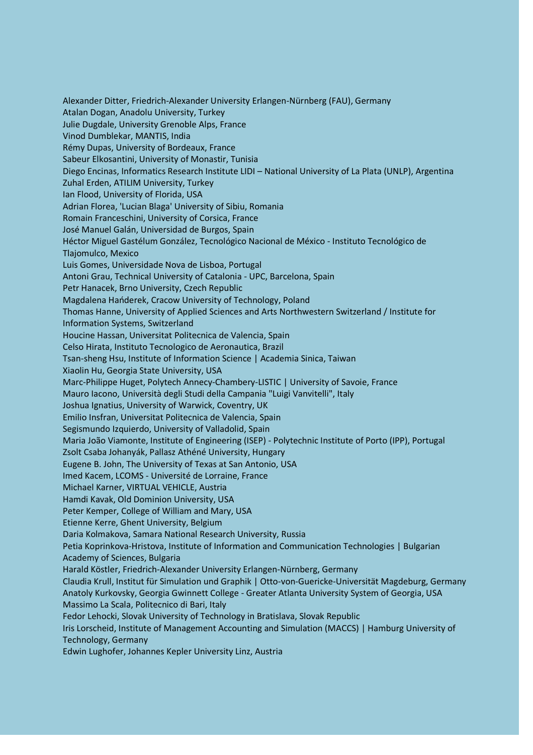Alexander Ditter, Friedrich-Alexander University Erlangen-Nürnberg (FAU), Germany Atalan Dogan, Anadolu University, Turkey Julie Dugdale, University Grenoble Alps, France Vinod Dumblekar, MANTIS, India Rémy Dupas, University of Bordeaux, France Sabeur Elkosantini, University of Monastir, Tunisia Diego Encinas, Informatics Research Institute LIDI – National University of La Plata (UNLP), Argentina Zuhal Erden, ATILIM University, Turkey Ian Flood, University of Florida, USA Adrian Florea, 'Lucian Blaga' University of Sibiu, Romania Romain Franceschini, University of Corsica, France José Manuel Galán, Universidad de Burgos, Spain Héctor Miguel Gastélum González, Tecnológico Nacional de México - Instituto Tecnológico de Tlajomulco, Mexico Luis Gomes, Universidade Nova de Lisboa, Portugal Antoni Grau, Technical University of Catalonia - UPC, Barcelona, Spain Petr Hanacek, Brno University, Czech Republic Magdalena Hańderek, Cracow University of Technology, Poland Thomas Hanne, University of Applied Sciences and Arts Northwestern Switzerland / Institute for Information Systems, Switzerland Houcine Hassan, Universitat Politecnica de Valencia, Spain Celso Hirata, Instituto Tecnologico de Aeronautica, Brazil Tsan-sheng Hsu, Institute of Information Science | Academia Sinica, Taiwan Xiaolin Hu, Georgia State University, USA Marc-Philippe Huget, Polytech Annecy-Chambery-LISTIC | University of Savoie, France Mauro Iacono, Università degli Studi della Campania "Luigi Vanvitelli", Italy Joshua Ignatius, University of Warwick, Coventry, UK Emilio Insfran, Universitat Politecnica de Valencia, Spain Segismundo Izquierdo, University of Valladolid, Spain Maria João Viamonte, Institute of Engineering (ISEP) - Polytechnic Institute of Porto (IPP), Portugal Zsolt Csaba Johanyák, Pallasz Athéné University, Hungary Eugene B. John, The University of Texas at San Antonio, USA Imed Kacem, LCOMS - Université de Lorraine, France Michael Karner, VIRTUAL VEHICLE, Austria Hamdi Kavak, Old Dominion University, USA Peter Kemper, College of William and Mary, USA Etienne Kerre, Ghent University, Belgium Daria Kolmakova, Samara National Research University, Russia Petia Koprinkova-Hristova, Institute of Information and Communication Technologies | Bulgarian Academy of Sciences, Bulgaria Harald Köstler, Friedrich-Alexander University Erlangen-Nürnberg, Germany Claudia Krull, Institut für Simulation und Graphik | Otto-von-Guericke-Universität Magdeburg, Germany Anatoly Kurkovsky, Georgia Gwinnett College - Greater Atlanta University System of Georgia, USA Massimo La Scala, Politecnico di Bari, Italy Fedor Lehocki, Slovak University of Technology in Bratislava, Slovak Republic Iris Lorscheid, Institute of Management Accounting and Simulation (MACCS) | Hamburg University of Technology, Germany Edwin Lughofer, Johannes Kepler University Linz, Austria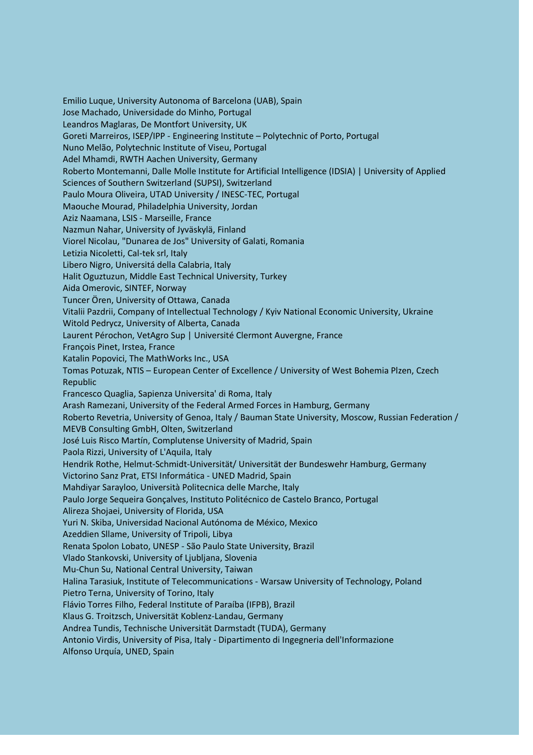Emilio Luque, University Autonoma of Barcelona (UAB), Spain Jose Machado, Universidade do Minho, Portugal Leandros Maglaras, De Montfort University, UK Goreti Marreiros, ISEP/IPP - Engineering Institute – Polytechnic of Porto, Portugal Nuno Melão, Polytechnic Institute of Viseu, Portugal Adel Mhamdi, RWTH Aachen University, Germany Roberto Montemanni, Dalle Molle Institute for Artificial Intelligence (IDSIA) | University of Applied Sciences of Southern Switzerland (SUPSI), Switzerland Paulo Moura Oliveira, UTAD University / INESC-TEC, Portugal Maouche Mourad, Philadelphia University, Jordan Aziz Naamana, LSIS - Marseille, France Nazmun Nahar, University of Jyväskylä, Finland Viorel Nicolau, "Dunarea de Jos" University of Galati, Romania Letizia Nicoletti, Cal-tek srl, Italy Libero Nigro, Universitá della Calabria, Italy Halit Oguztuzun, Middle East Technical University, Turkey Aida Omerovic, SINTEF, Norway Tuncer Ören, University of Ottawa, Canada Vitalii Pazdrii, Company of Intellectual Technology / Kyiv National Economic University, Ukraine Witold Pedrycz, University of Alberta, Canada Laurent Pérochon, VetAgro Sup | Université Clermont Auvergne, France François Pinet, Irstea, France Katalin Popovici, The MathWorks Inc., USA Tomas Potuzak, NTIS – European Center of Excellence / University of West Bohemia Plzen, Czech Republic Francesco Quaglia, Sapienza Universita' di Roma, Italy Arash Ramezani, University of the Federal Armed Forces in Hamburg, Germany Roberto Revetria, University of Genoa, Italy / Bauman State University, Moscow, Russian Federation / MEVB Consulting GmbH, Olten, Switzerland José Luis Risco Martín, Complutense University of Madrid, Spain Paola Rizzi, University of L'Aquila, Italy Hendrik Rothe, Helmut-Schmidt-Universität/ Universität der Bundeswehr Hamburg, Germany Victorino Sanz Prat, ETSI Informática - UNED Madrid, Spain Mahdiyar Sarayloo, Università Politecnica delle Marche, Italy Paulo Jorge Sequeira Gonçalves, Instituto Politécnico de Castelo Branco, Portugal Alireza Shojaei, University of Florida, USA Yuri N. Skiba, Universidad Nacional Autónoma de México, Mexico Azeddien Sllame, University of Tripoli, Libya Renata Spolon Lobato, UNESP - São Paulo State University, Brazil Vlado Stankovski, University of Ljubljana, Slovenia Mu-Chun Su, National Central University, Taiwan Halina Tarasiuk, Institute of Telecommunications - Warsaw University of Technology, Poland Pietro Terna, University of Torino, Italy Flávio Torres Filho, Federal Institute of Paraíba (IFPB), Brazil Klaus G. Troitzsch, Universität Koblenz-Landau, Germany Andrea Tundis, Technische Universität Darmstadt (TUDA), Germany Antonio Virdis, University of Pisa, Italy - Dipartimento di Ingegneria dell'Informazione Alfonso Urquía, UNED, Spain